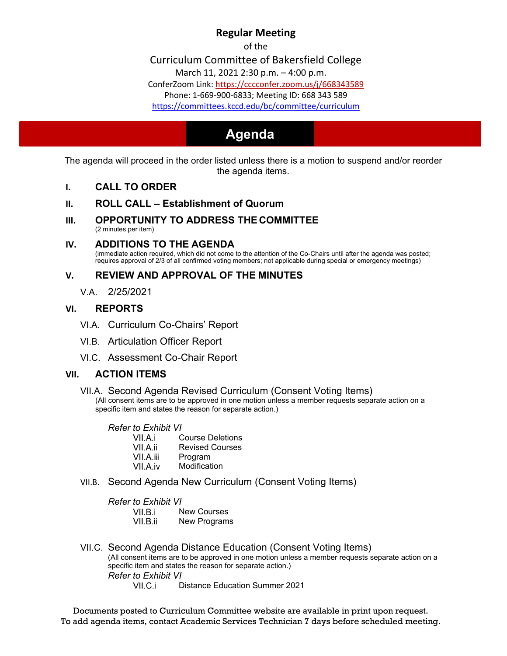# **Regular Meeting**

of the

Curriculum Committee of Bakersfield College

March 11, 2021 [2:30 p.m. –](https://cccconfer.zoom.us/j/668343589) 4:00 p.m.

ConferZoom Link: https://cccconfer.zoom.us/j/668343589

[Phone: 1-669-900-6833; Meeting ID: 668 343 589](https://committees.kccd.edu/bc/committee/curriculum)

<https://committees.kccd.edu/bc/committee/curriculum>

# **Agenda Agenda**

The agenda will proceed in the order listed unless there is a motion to suspend and/or reorder the agenda items.

- **I. CALL TO ORDER**
- **II. ROLL CALL – Establishment of Quorum**
- **III. OPPORTUNITY TO ADDRESS THE COMMITTEE** (2 minutes per item)

### **IV. ADDITIONS TO THE AGENDA**

(immediate action required, which did not come to the attention of the Co-Chairs until after the agenda was posted; requires approval of 2/3 of all confirmed voting members; not applicable during special or emergency meetings)

## **V. REVIEW AND APPROVAL OF THE MINUTES**

V.A. 2/25/2021

## **VI. REPORTS**

- VI.A. Curriculum Co-Chairs' Report
- VI.B. Articulation Officer Report
- VI.C. Assessment Co-Chair Report

## **VII. ACTION ITEMS**

#### VII.A. Second Agenda Revised Curriculum (Consent Voting Items)

(All consent items are to be approved in one motion unless a member requests separate action on a specific item and states the reason for separate action.)

*Refer to Exhibit VI* Course Deletions VII.A.ii Revised Courses VII.A.iii Program VII.A.iv Modification

VII.B. Second Agenda New Curriculum (Consent Voting Items)

*Refer to Exhibit VI* New Courses VII.B.ii New Programs

VII.C. Second Agenda Distance Education (Consent Voting Items) (All consent items are to be approved in one motion unless a member requests separate action on a specific item and states the reason for separate action.) *Refer to Exhibit VI* Distance Education Summer 2021

Documents posted to Curriculum Committee website are available in print upon request. To add agenda items, contact Academic Services Technician 7 days before scheduled meeting.